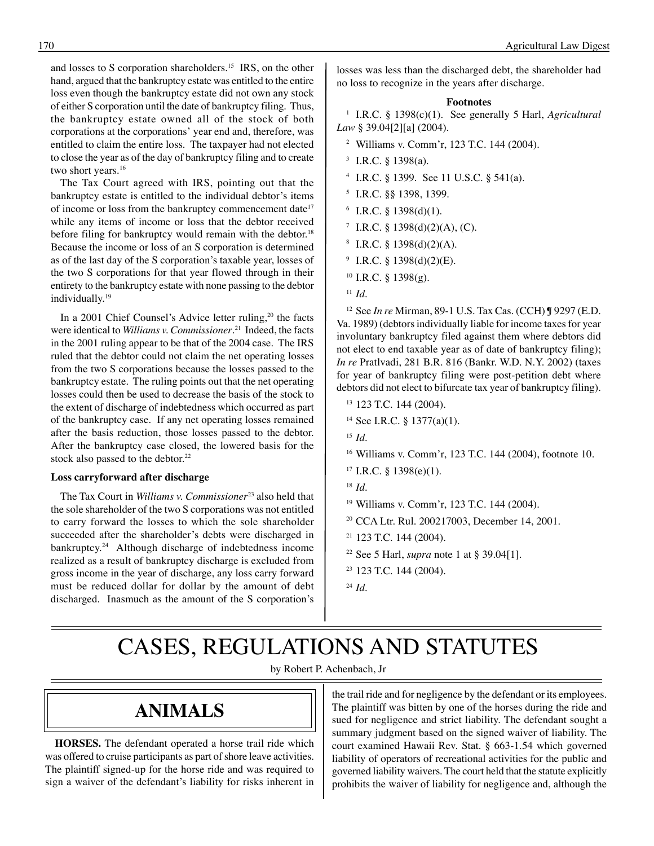and losses to S corporation shareholders.15 IRS, on the other hand, argued that the bankruptcy estate was entitled to the entire loss even though the bankruptcy estate did not own any stock of either S corporation until the date of bankruptcy filing. Thus, the bankruptcy estate owned all of the stock of both corporations at the corporations' year end and, therefore, was entitled to claim the entire loss. The taxpayer had not elected to close the year as of the day of bankruptcy filing and to create two short years.<sup>16</sup>

The Tax Court agreed with IRS, pointing out that the bankruptcy estate is entitled to the individual debtor's items of income or loss from the bankruptcy commencement date<sup>17</sup> while any items of income or loss that the debtor received before filing for bankruptcy would remain with the debtor. 18 Because the income or loss of an S corporation is determined as of the last day of the S corporation's taxable year, losses of the two S corporations for that year flowed through in their entirety to the bankruptcy estate with none passing to the debtor individually. 19

In a 2001 Chief Counsel's Advice letter ruling,<sup>20</sup> the facts were identical to *Williams v. Commissioner*. 21 Indeed, the facts in the 2001 ruling appear to be that of the 2004 case. The IRS ruled that the debtor could not claim the net operating losses from the two S corporations because the losses passed to the bankruptcy estate. The ruling points out that the net operating losses could then be used to decrease the basis of the stock to the extent of discharge of indebtedness which occurred as part of the bankruptcy case. If any net operating losses remained after the basis reduction, those losses passed to the debtor. After the bankruptcy case closed, the lowered basis for the stock also passed to the debtor. 22

#### **Loss carryforward after discharge**

The Tax Court in *Williams v. Commissioner*23 also held that the sole shareholder of the two S corporations was not entitled to carry forward the losses to which the sole shareholder succeeded after the shareholder's debts were discharged in bankruptcy. 24 Although discharge of indebtedness income realized as a result of bankruptcy discharge is excluded from gross income in the year of discharge, any loss carry forward must be reduced dollar for dollar by the amount of debt discharged. Inasmuch as the amount of the S corporation's

losses was less than the discharged debt, the shareholder had no loss to recognize in the years after discharge.

#### **Footnotes**

1 I.R.C. § 1398(c)(1). See generally 5 Harl, *Agricultural Law* § 39.04[2][a] (2004).

- 2 Williams v. Comm'r, 123 T.C. 144 (2004).
- $3$  I.R.C. § 1398(a).
- 4 I.R.C. § 1399. See 11 U.S.C. § 541(a).
- 5 I.R.C. §§ 1398, 1399.
- $6$  I.R.C. § 1398(d)(1).
- <sup>7</sup> I.R.C. § 1398(d)(2)(A), (C).
- $8$  I.R.C. § 1398(d)(2)(A).
- $9$  I.R.C. § 1398(d)(2)(E).
- $10$  I.R.C. § 1398(g).
- $11$ *Id.*

12 See *In re* Mirman, 89-1 U.S. Tax Cas. (CCH) ¶ 9297 (E.D. Va. 1989) (debtors individually liable for income taxes for year involuntary bankruptcy filed against them where debtors did not elect to end taxable year as of date of bankruptcy filing); *In re* Pratlvadi, 281 B.R. 816 (Bankr. W.D. N.Y. 2002) (taxes for year of bankruptcy filing were post-petition debt where debtors did not elect to bifurcate tax year of bankruptcy filing).

- 13 123 T.C. 144 (2004).
- 14 See I.R.C. § 1377(a)(1).
- <sup>15</sup>*Id*.
- 16 Williams v. Comm'r, 123 T.C. 144 (2004), footnote 10.
- $17$  I.R.C. § 1398(e)(1).
- <sup>18</sup>*Id*.
- 19 Williams v. Comm'r, 123 T.C. 144 (2004).
- 20 CCA Ltr. Rul. 200217003, December 14, 2001.
- 21 123 T.C. 144 (2004).
- 22 See 5 Harl, *supra* note 1 at § 39.04[1].
- 23 123 T.C. 144 (2004).
- <sup>24</sup>*Id*.

# CASES, REGULATIONS AND STATUTES

by Robert P. Achenbach, Jr

### **ANIMALS**

**HORSES.** The defendant operated a horse trail ride which was offered to cruise participants as part of shore leave activities. The plaintiff signed-up for the horse ride and was required to sign a waiver of the defendant's liability for risks inherent in

the trail ride and for negligence by the defendant or its employees. The plaintiff was bitten by one of the horses during the ride and sued for negligence and strict liability. The defendant sought a summary judgment based on the signed waiver of liability. The court examined Hawaii Rev. Stat. § 663-1.54 which governed liability of operators of recreational activities for the public and governed liability waivers. The court held that the statute explicitly prohibits the waiver of liability for negligence and, although the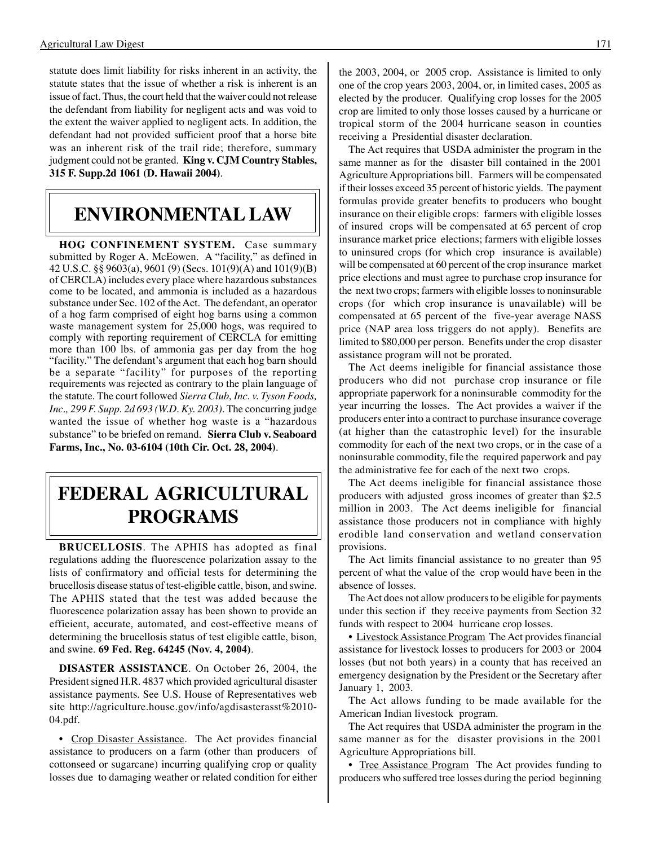statute does limit liability for risks inherent in an activity, the statute states that the issue of whether a risk is inherent is an issue of fact. Thus, the court held that the waiver could not release the defendant from liability for negligent acts and was void to the extent the waiver applied to negligent acts. In addition, the defendant had not provided sufficient proof that a horse bite was an inherent risk of the trail ride; therefore, summary judgment could not be granted. **King v. CJM Country Stables, 315 F. Supp.2d 1061 (D. Hawaii 2004)**.

### **ENVIRONMENTAL LAW**

**HOG CONFINEMENT SYSTEM.** Case summary submitted by Roger A. McEowen. A "facility," as defined in 42 U.S.C. §§ 9603(a), 9601 (9) (Secs. 101(9)(A) and 101(9)(B) of CERCLA) includes every place where hazardous substances come to be located, and ammonia is included as a hazardous substance under Sec. 102 of the Act. The defendant, an operator of a hog farm comprised of eight hog barns using a common waste management system for 25,000 hogs, was required to comply with reporting requirement of CERCLA for emitting more than 100 lbs. of ammonia gas per day from the hog "facility." The defendant's argument that each hog barn should be a separate "facility" for purposes of the reporting requirements was rejected as contrary to the plain language of the statute. The court followed *Sierra Club, Inc. v. Tyson Foods, Inc., 299 F. Supp. 2d 693 (W.D. Ky. 2003)*. The concurring judge wanted the issue of whether hog waste is a "hazardous substance" to be briefed on remand. **Sierra Club v. Seaboard Farms, Inc., No. 03-6104 (10th Cir. Oct. 28, 2004)**.

## **FEDERAL AGRICULTURAL PROGRAMS**

**BRUCELLOSIS**. The APHIS has adopted as final regulations adding the fluorescence polarization assay to the lists of confirmatory and official tests for determining the brucellosis disease status of test-eligible cattle, bison, and swine. The APHIS stated that the test was added because the fluorescence polarization assay has been shown to provide an efficient, accurate, automated, and cost-effective means of determining the brucellosis status of test eligible cattle, bison, and swine. **69 Fed. Reg. 64245 (Nov. 4, 2004)**.

**DISASTER ASSISTANCE**. On October 26, 2004, the President signed H.R. 4837 which provided agricultural disaster assistance payments. See U.S. House of Representatives web site http://agriculture.house.gov/info/agdisasterasst%2010 04.pdf.

• Crop Disaster Assistance. The Act provides financial assistance to producers on a farm (other than producers of cottonseed or sugarcane) incurring qualifying crop or quality losses due to damaging weather or related condition for either

the 2003, 2004, or 2005 crop. Assistance is limited to only one of the crop years 2003, 2004, or, in limited cases, 2005 as elected by the producer. Qualifying crop losses for the 2005 crop are limited to only those losses caused by a hurricane or tropical storm of the 2004 hurricane season in counties receiving a Presidential disaster declaration.

The Act requires that USDA administer the program in the same manner as for the disaster bill contained in the 2001 Agriculture Appropriations bill. Farmers will be compensated if their losses exceed 35 percent of historic yields. The payment formulas provide greater benefits to producers who bought insurance on their eligible crops: farmers with eligible losses of insured crops will be compensated at 65 percent of crop insurance market price elections; farmers with eligible losses to uninsured crops (for which crop insurance is available) will be compensated at 60 percent of the crop insurance market price elections and must agree to purchase crop insurance for the next two crops; farmers with eligible losses to noninsurable crops (for which crop insurance is unavailable) will be compensated at 65 percent of the five-year average NASS price (NAP area loss triggers do not apply). Benefits are limited to \$80,000 per person. Benefits under the crop disaster assistance program will not be prorated.

The Act deems ineligible for financial assistance those producers who did not purchase crop insurance or file appropriate paperwork for a noninsurable commodity for the year incurring the losses. The Act provides a waiver if the producers enter into a contract to purchase insurance coverage (at higher than the catastrophic level) for the insurable commodity for each of the next two crops, or in the case of a noninsurable commodity, file the required paperwork and pay the administrative fee for each of the next two crops.

The Act deems ineligible for financial assistance those producers with adjusted gross incomes of greater than \$2.5 million in 2003. The Act deems ineligible for financial assistance those producers not in compliance with highly erodible land conservation and wetland conservation provisions.

The Act limits financial assistance to no greater than 95 percent of what the value of the crop would have been in the absence of losses.

The Act does not allow producers to be eligible for payments under this section if they receive payments from Section 32 funds with respect to 2004 hurricane crop losses.

• Livestock Assistance Program The Act provides financial assistance for livestock losses to producers for 2003 or 2004 losses (but not both years) in a county that has received an emergency designation by the President or the Secretary after January 1, 2003.

The Act allows funding to be made available for the American Indian livestock program.

The Act requires that USDA administer the program in the same manner as for the disaster provisions in the 2001 Agriculture Appropriations bill.

• Tree Assistance Program The Act provides funding to producers who suffered tree losses during the period beginning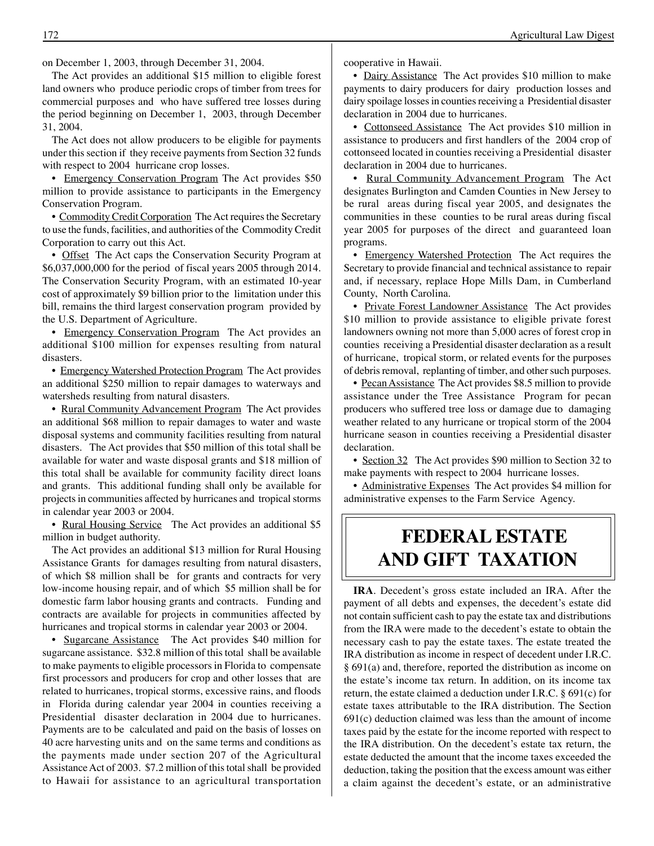on December 1, 2003, through December 31, 2004.

The Act provides an additional \$15 million to eligible forest land owners who produce periodic crops of timber from trees for commercial purposes and who have suffered tree losses during the period beginning on December 1, 2003, through December 31, 2004.

The Act does not allow producers to be eligible for payments under this section if they receive payments from Section 32 funds with respect to 2004 hurricane crop losses.

• Emergency Conservation Program The Act provides \$50 million to provide assistance to participants in the Emergency Conservation Program.

• Commodity Credit Corporation The Act requires the Secretary to use the funds, facilities, and authorities of the Commodity Credit Corporation to carry out this Act.

• Offset The Act caps the Conservation Security Program at \$6,037,000,000 for the period of fiscal years 2005 through 2014. The Conservation Security Program, with an estimated 10-year cost of approximately \$9 billion prior to the limitation under this bill, remains the third largest conservation program provided by the U.S. Department of Agriculture.

• Emergency Conservation Program The Act provides an additional \$100 million for expenses resulting from natural disasters.

• Emergency Watershed Protection Program The Act provides an additional \$250 million to repair damages to waterways and watersheds resulting from natural disasters.

• Rural Community Advancement Program The Act provides an additional \$68 million to repair damages to water and waste disposal systems and community facilities resulting from natural disasters. The Act provides that \$50 million of this total shall be available for water and waste disposal grants and \$18 million of this total shall be available for community facility direct loans and grants. This additional funding shall only be available for projects in communities affected by hurricanes and tropical storms in calendar year 2003 or 2004.

• Rural Housing Service The Act provides an additional \$5 million in budget authority.

The Act provides an additional \$13 million for Rural Housing Assistance Grants for damages resulting from natural disasters, of which \$8 million shall be for grants and contracts for very low-income housing repair, and of which \$5 million shall be for domestic farm labor housing grants and contracts. Funding and contracts are available for projects in communities affected by hurricanes and tropical storms in calendar year 2003 or 2004.

• Sugarcane Assistance The Act provides \$40 million for sugarcane assistance. \$32.8 million of this total shall be available to make payments to eligible processors in Florida to compensate first processors and producers for crop and other losses that are related to hurricanes, tropical storms, excessive rains, and floods in Florida during calendar year 2004 in counties receiving a Presidential disaster declaration in 2004 due to hurricanes. Payments are to be calculated and paid on the basis of losses on 40 acre harvesting units and on the same terms and conditions as the payments made under section 207 of the Agricultural Assistance Act of 2003. \$7.2 million of this total shall be provided to Hawaii for assistance to an agricultural transportation

cooperative in Hawaii.

• Dairy Assistance The Act provides \$10 million to make payments to dairy producers for dairy production losses and dairy spoilage losses in counties receiving a Presidential disaster declaration in 2004 due to hurricanes.

• Cottonseed Assistance The Act provides \$10 million in assistance to producers and first handlers of the 2004 crop of cottonseed located in counties receiving a Presidential disaster declaration in 2004 due to hurricanes.

• Rural Community Advancement Program The Act designates Burlington and Camden Counties in New Jersey to be rural areas during fiscal year 2005, and designates the communities in these counties to be rural areas during fiscal year 2005 for purposes of the direct and guaranteed loan programs.

• Emergency Watershed Protection The Act requires the Secretary to provide financial and technical assistance to repair and, if necessary, replace Hope Mills Dam, in Cumberland County, North Carolina.

• Private Forest Landowner Assistance The Act provides \$10 million to provide assistance to eligible private forest landowners owning not more than 5,000 acres of forest crop in counties receiving a Presidential disaster declaration as a result of hurricane, tropical storm, or related events for the purposes of debris removal, replanting of timber, and other such purposes.

• Pecan Assistance The Act provides \$8.5 million to provide assistance under the Tree Assistance Program for pecan producers who suffered tree loss or damage due to damaging weather related to any hurricane or tropical storm of the 2004 hurricane season in counties receiving a Presidential disaster declaration.

• Section 32 The Act provides \$90 million to Section 32 to make payments with respect to 2004 hurricane losses.

• Administrative Expenses The Act provides \$4 million for administrative expenses to the Farm Service Agency.

## **FEDERAL ESTATE AND GIFT TAXATION**

**IRA**. Decedent's gross estate included an IRA. After the payment of all debts and expenses, the decedent's estate did not contain sufficient cash to pay the estate tax and distributions from the IRA were made to the decedent's estate to obtain the necessary cash to pay the estate taxes. The estate treated the IRA distribution as income in respect of decedent under I.R.C. § 691(a) and, therefore, reported the distribution as income on the estate's income tax return. In addition, on its income tax return, the estate claimed a deduction under I.R.C. § 691(c) for estate taxes attributable to the IRA distribution. The Section 691(c) deduction claimed was less than the amount of income taxes paid by the estate for the income reported with respect to the IRA distribution. On the decedent's estate tax return, the estate deducted the amount that the income taxes exceeded the deduction, taking the position that the excess amount was either a claim against the decedent's estate, or an administrative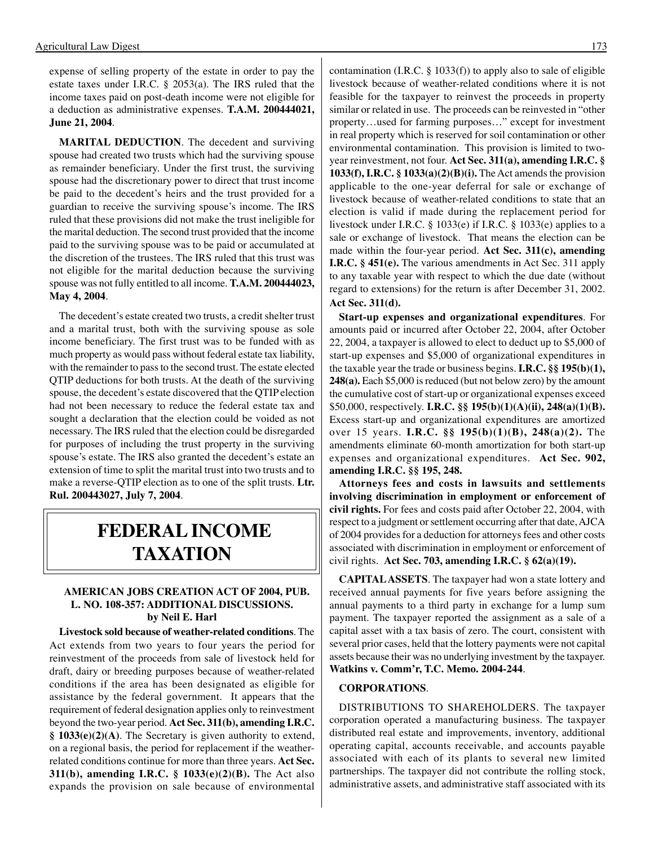expense of selling property of the estate in order to pay the estate taxes under I.R.C. § 2053(a). The IRS ruled that the income taxes paid on post-death income were not eligible for a deduction as administrative expenses. **T.A.M. 200444021, June 21, 2004**.

**MARITAL DEDUCTION**. The decedent and surviving spouse had created two trusts which had the surviving spouse as remainder beneficiary. Under the first trust, the surviving spouse had the discretionary power to direct that trust income be paid to the decedent's heirs and the trust provided for a guardian to receive the surviving spouse's income. The IRS ruled that these provisions did not make the trust ineligible for the marital deduction. The second trust provided that the income paid to the surviving spouse was to be paid or accumulated at the discretion of the trustees. The IRS ruled that this trust was not eligible for the marital deduction because the surviving spouse was not fully entitled to all income. **T.A.M. 200444023, May 4, 2004**.

The decedent's estate created two trusts, a credit shelter trust and a marital trust, both with the surviving spouse as sole income beneficiary. The first trust was to be funded with as much property as would pass without federal estate tax liability, with the remainder to pass to the second trust. The estate elected QTIP deductions for both trusts. At the death of the surviving spouse, the decedent's estate discovered that the QTIP election had not been necessary to reduce the federal estate tax and sought a declaration that the election could be voided as not necessary. The IRS ruled that the election could be disregarded for purposes of including the trust property in the surviving spouse's estate. The IRS also granted the decedent's estate an extension of time to split the marital trust into two trusts and to make a reverse-QTIP election as to one of the split trusts. **Ltr. Rul. 200443027, July 7, 2004**.

### **FEDERAL INCOME TAXATION**

#### **AMERICAN JOBS CREATION ACT OF 2004, PUB. L. NO. 108-357: ADDITIONAL DISCUSSIONS. by Neil E. Harl**

**Livestock sold because of weather-related conditions**. The Act extends from two years to four years the period for reinvestment of the proceeds from sale of livestock held for draft, dairy or breeding purposes because of weather-related conditions if the area has been designated as eligible for assistance by the federal government. It appears that the requirement of federal designation applies only to reinvestment beyond the two-year period. **Act Sec. 311(b), amending I.R.C. § 1033(e)(2)(A)**. The Secretary is given authority to extend, on a regional basis, the period for replacement if the weatherrelated conditions continue for more than three years. **Act Sec. 311(b), amending I.R.C. § 1033(e)(2)(B).** The Act also expands the provision on sale because of environmental

contamination (I.R.C.  $\S$  1033(f)) to apply also to sale of eligible livestock because of weather-related conditions where it is not feasible for the taxpayer to reinvest the proceeds in property similar or related in use. The proceeds can be reinvested in "other property…used for farming purposes…" except for investment in real property which is reserved for soil contamination or other environmental contamination. This provision is limited to twoyear reinvestment, not four. **Act Sec. 311(a), amending I.R.C. § 1033(f), I.R.C. § 1033(a)(2)(B)(i).** The Act amends the provision applicable to the one-year deferral for sale or exchange of livestock because of weather-related conditions to state that an election is valid if made during the replacement period for livestock under I.R.C. § 1033(e) if I.R.C. § 1033(e) applies to a sale or exchange of livestock. That means the election can be made within the four-year period. **Act Sec. 311(c), amending I.R.C. § 451(e).** The various amendments in Act Sec. 311 apply to any taxable year with respect to which the due date (without regard to extensions) for the return is after December 31, 2002. **Act Sec. 311(d).** 

**Start-up expenses and organizational expenditures**. For amounts paid or incurred after October 22, 2004, after October 22, 2004, a taxpayer is allowed to elect to deduct up to \$5,000 of start-up expenses and \$5,000 of organizational expenditures in the taxable year the trade or business begins. **I.R.C. §§ 195(b)(1), 248(a).** Each \$5,000 is reduced (but not below zero) by the amount the cumulative cost of start-up or organizational expenses exceed \$50,000, respectively. **I.R.C. §§ 195(b)(1)(A)(ii), 248(a)(1)(B).**  Excess start-up and organizational expenditures are amortized over 15 years. **I.R.C. §§ 195(b)(1)(B), 248(a)(2).** The amendments eliminate 60-month amortization for both start-up expenses and organizational expenditures. **Act Sec. 902, amending I.R.C. §§ 195, 248.** 

**Attorneys fees and costs in lawsuits and settlements involving discrimination in employment or enforcement of civil rights.** For fees and costs paid after October 22, 2004, with respect to a judgment or settlement occurring after that date, AJCA of 2004 provides for a deduction for attorneys fees and other costs associated with discrimination in employment or enforcement of civil rights. **Act Sec. 703, amending I.R.C. § 62(a)(19).** 

**CAPITAL ASSETS**. The taxpayer had won a state lottery and received annual payments for five years before assigning the annual payments to a third party in exchange for a lump sum payment. The taxpayer reported the assignment as a sale of a capital asset with a tax basis of zero. The court, consistent with several prior cases, held that the lottery payments were not capital assets because their was no underlying investment by the taxpayer. **Watkins v. Comm'r, T.C. Memo. 2004-244**.

#### **CORPORATIONS**.

DISTRIBUTIONS TO SHAREHOLDERS. The taxpayer corporation operated a manufacturing business. The taxpayer distributed real estate and improvements, inventory, additional operating capital, accounts receivable, and accounts payable associated with each of its plants to several new limited partnerships. The taxpayer did not contribute the rolling stock, administrative assets, and administrative staff associated with its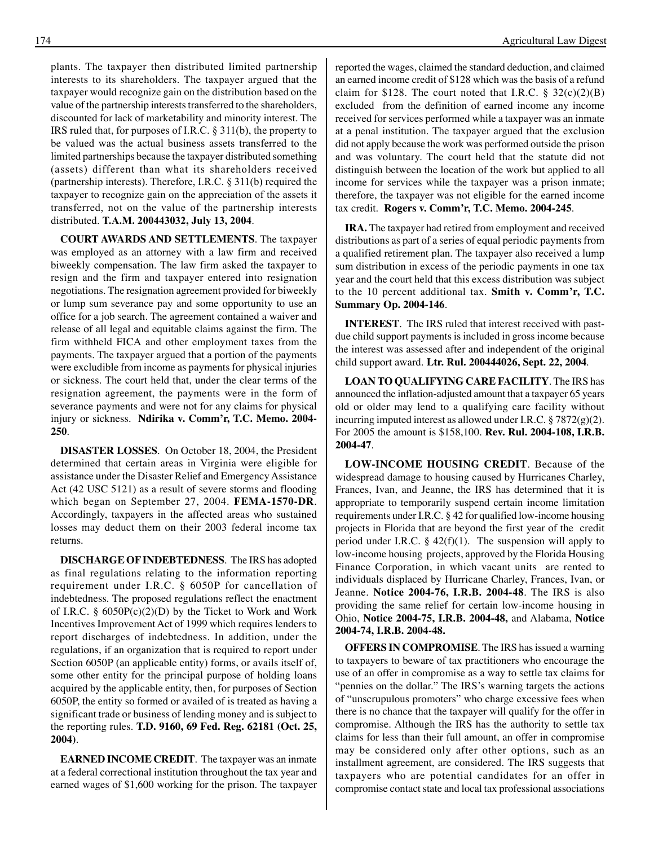plants. The taxpayer then distributed limited partnership interests to its shareholders. The taxpayer argued that the taxpayer would recognize gain on the distribution based on the value of the partnership interests transferred to the shareholders, discounted for lack of marketability and minority interest. The IRS ruled that, for purposes of I.R.C. § 311(b), the property to be valued was the actual business assets transferred to the limited partnerships because the taxpayer distributed something (assets) different than what its shareholders received (partnership interests). Therefore, I.R.C. § 311(b) required the taxpayer to recognize gain on the appreciation of the assets it transferred, not on the value of the partnership interests distributed. **T.A.M. 200443032, July 13, 2004**.

**COURT AWARDS AND SETTLEMENTS**. The taxpayer was employed as an attorney with a law firm and received biweekly compensation. The law firm asked the taxpayer to resign and the firm and taxpayer entered into resignation negotiations. The resignation agreement provided for biweekly or lump sum severance pay and some opportunity to use an office for a job search. The agreement contained a waiver and release of all legal and equitable claims against the firm. The firm withheld FICA and other employment taxes from the payments. The taxpayer argued that a portion of the payments were excludible from income as payments for physical injuries or sickness. The court held that, under the clear terms of the resignation agreement, the payments were in the form of severance payments and were not for any claims for physical injury or sickness. **Ndirika v. Comm'r, T.C. Memo. 2004- 250**.

**DISASTER LOSSES**. On October 18, 2004, the President determined that certain areas in Virginia were eligible for assistance under the Disaster Relief and Emergency Assistance Act (42 USC 5121) as a result of severe storms and flooding which began on September 27, 2004. **FEMA-1570-DR**. Accordingly, taxpayers in the affected areas who sustained losses may deduct them on their 2003 federal income tax returns.

**DISCHARGE OF INDEBTEDNESS**. The IRS has adopted as final regulations relating to the information reporting requirement under I.R.C. § 6050P for cancellation of indebtedness. The proposed regulations reflect the enactment of I.R.C. § 6050P(c)(2)(D) by the Ticket to Work and Work Incentives Improvement Act of 1999 which requires lenders to report discharges of indebtedness. In addition, under the regulations, if an organization that is required to report under Section 6050P (an applicable entity) forms, or avails itself of, some other entity for the principal purpose of holding loans acquired by the applicable entity, then, for purposes of Section 6050P, the entity so formed or availed of is treated as having a significant trade or business of lending money and is subject to the reporting rules. **T.D. 9160, 69 Fed. Reg. 62181 (Oct. 25, 2004)**.

**EARNED INCOME CREDIT**. The taxpayer was an inmate at a federal correctional institution throughout the tax year and earned wages of \$1,600 working for the prison. The taxpayer reported the wages, claimed the standard deduction, and claimed an earned income credit of \$128 which was the basis of a refund claim for \$128. The court noted that I.R.C.  $\S 32(c)(2)(B)$ excluded from the definition of earned income any income received for services performed while a taxpayer was an inmate at a penal institution. The taxpayer argued that the exclusion did not apply because the work was performed outside the prison and was voluntary. The court held that the statute did not distinguish between the location of the work but applied to all income for services while the taxpayer was a prison inmate; therefore, the taxpayer was not eligible for the earned income tax credit. **Rogers v. Comm'r, T.C. Memo. 2004-245**.

**IRA.** The taxpayer had retired from employment and received distributions as part of a series of equal periodic payments from a qualified retirement plan. The taxpayer also received a lump sum distribution in excess of the periodic payments in one tax year and the court held that this excess distribution was subject to the 10 percent additional tax. **Smith v. Comm'r, T.C. Summary Op. 2004-146**.

**INTEREST**. The IRS ruled that interest received with pastdue child support payments is included in gross income because the interest was assessed after and independent of the original child support award. **Ltr. Rul. 200444026, Sept. 22, 2004**.

**LOAN TO QUALIFYING CARE FACILITY**. The IRS has announced the inflation-adjusted amount that a taxpayer 65 years old or older may lend to a qualifying care facility without incurring imputed interest as allowed under I.R.C.  $\S 7872(g)(2)$ . For 2005 the amount is \$158,100. **Rev. Rul. 2004-108, I.R.B. 2004-47**.

**LOW-INCOME HOUSING CREDIT**. Because of the widespread damage to housing caused by Hurricanes Charley, Frances, Ivan, and Jeanne, the IRS has determined that it is appropriate to temporarily suspend certain income limitation requirements under I.R.C. § 42 for qualified low-income housing projects in Florida that are beyond the first year of the credit period under I.R.C.  $\S$  42(f)(1). The suspension will apply to low-income housing projects, approved by the Florida Housing Finance Corporation, in which vacant units are rented to individuals displaced by Hurricane Charley, Frances, Ivan, or Jeanne. **Notice 2004-76, I.R.B. 2004-48**. The IRS is also providing the same relief for certain low-income housing in Ohio, **Notice 2004-75, I.R.B. 2004-48,** and Alabama, **Notice 2004-74, I.R.B. 2004-48.** 

**OFFERS IN COMPROMISE**. The IRS has issued a warning to taxpayers to beware of tax practitioners who encourage the use of an offer in compromise as a way to settle tax claims for "pennies on the dollar." The IRS's warning targets the actions of "unscrupulous promoters" who charge excessive fees when there is no chance that the taxpayer will qualify for the offer in compromise. Although the IRS has the authority to settle tax claims for less than their full amount, an offer in compromise may be considered only after other options, such as an installment agreement, are considered. The IRS suggests that taxpayers who are potential candidates for an offer in compromise contact state and local tax professional associations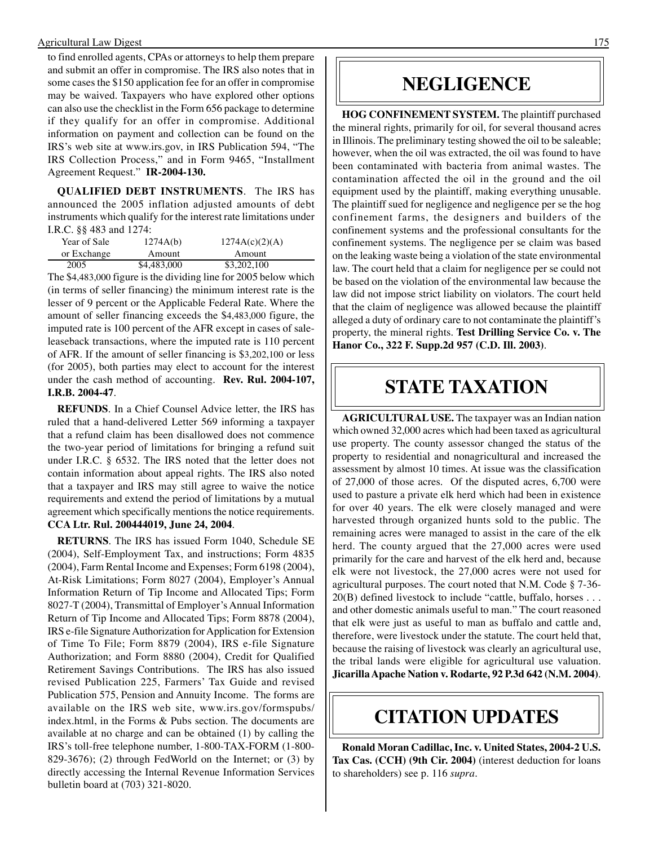#### Agricultural Law Digest 175

to find enrolled agents, CPAs or attorneys to help them prepare and submit an offer in compromise. The IRS also notes that in some cases the \$150 application fee for an offer in compromise may be waived. Taxpayers who have explored other options can also use the checklist in the Form 656 package to determine if they qualify for an offer in compromise. Additional information on payment and collection can be found on the IRS's web site at www.irs.gov, in IRS Publication 594, "The IRS Collection Process," and in Form 9465, "Installment Agreement Request." **IR-2004-130.** 

**QUALIFIED DEBT INSTRUMENTS**. The IRS has announced the 2005 inflation adjusted amounts of debt instruments which qualify for the interest rate limitations under I.R.C. §§ 483 and 1274:

| Year of Sale | 1274A(b)    | 1274A(c)(2)(A) |
|--------------|-------------|----------------|
| or Exchange  | Amount      | Amount         |
| 2005         | \$4,483,000 | \$3,202,100    |

The \$4,483,000 figure is the dividing line for 2005 below which (in terms of seller financing) the minimum interest rate is the lesser of 9 percent or the Applicable Federal Rate. Where the amount of seller financing exceeds the \$4,483,000 figure, the imputed rate is 100 percent of the AFR except in cases of saleleaseback transactions, where the imputed rate is 110 percent of AFR. If the amount of seller financing is \$3,202,100 or less (for 2005), both parties may elect to account for the interest under the cash method of accounting. **Rev. Rul. 2004-107, I.R.B. 2004-47**.

**REFUNDS**. In a Chief Counsel Advice letter, the IRS has ruled that a hand-delivered Letter 569 informing a taxpayer that a refund claim has been disallowed does not commence the two-year period of limitations for bringing a refund suit under I.R.C. § 6532. The IRS noted that the letter does not contain information about appeal rights. The IRS also noted that a taxpayer and IRS may still agree to waive the notice requirements and extend the period of limitations by a mutual agreement which specifically mentions the notice requirements. **CCA Ltr. Rul. 200444019, June 24, 2004**.

**RETURNS**. The IRS has issued Form 1040, Schedule SE (2004), Self-Employment Tax, and instructions; Form 4835 (2004), Farm Rental Income and Expenses; Form 6198 (2004), At-Risk Limitations; Form 8027 (2004), Employer's Annual Information Return of Tip Income and Allocated Tips; Form 8027-T (2004), Transmittal of Employer's Annual Information Return of Tip Income and Allocated Tips; Form 8878 (2004), IRS e-file Signature Authorization for Application for Extension of Time To File; Form 8879 (2004), IRS e-file Signature Authorization; and Form 8880 (2004), Credit for Qualified Retirement Savings Contributions. The IRS has also issued revised Publication 225, Farmers' Tax Guide and revised Publication 575, Pension and Annuity Income. The forms are available on the IRS web site, www.irs.gov/formspubs/ index.html, in the Forms & Pubs section. The documents are available at no charge and can be obtained (1) by calling the IRS's toll-free telephone number, 1-800-TAX-FORM (1-800 829-3676); (2) through FedWorld on the Internet; or (3) by directly accessing the Internal Revenue Information Services bulletin board at (703) 321-8020.

### **NEGLIGENCE**

**HOG CONFINEMENT SYSTEM.** The plaintiff purchased the mineral rights, primarily for oil, for several thousand acres in Illinois. The preliminary testing showed the oil to be saleable; however, when the oil was extracted, the oil was found to have been contaminated with bacteria from animal wastes. The contamination affected the oil in the ground and the oil equipment used by the plaintiff, making everything unusable. The plaintiff sued for negligence and negligence per se the hog confinement farms, the designers and builders of the confinement systems and the professional consultants for the confinement systems. The negligence per se claim was based on the leaking waste being a violation of the state environmental law. The court held that a claim for negligence per se could not be based on the violation of the environmental law because the law did not impose strict liability on violators. The court held that the claim of negligence was allowed because the plaintiff alleged a duty of ordinary care to not contaminate the plaintiff's property, the mineral rights. **Test Drilling Service Co. v. The Hanor Co., 322 F. Supp.2d 957 (C.D. Ill. 2003)**.

### **STATE TAXATION**

**AGRICULTURAL USE.** The taxpayer was an Indian nation which owned 32,000 acres which had been taxed as agricultural use property. The county assessor changed the status of the property to residential and nonagricultural and increased the assessment by almost 10 times. At issue was the classification of 27,000 of those acres. Of the disputed acres, 6,700 were used to pasture a private elk herd which had been in existence for over 40 years. The elk were closely managed and were harvested through organized hunts sold to the public. The remaining acres were managed to assist in the care of the elk herd. The county argued that the 27,000 acres were used primarily for the care and harvest of the elk herd and, because elk were not livestock, the 27,000 acres were not used for agricultural purposes. The court noted that N.M. Code § 7-36 20(B) defined livestock to include "cattle, buffalo, horses . . . and other domestic animals useful to man." The court reasoned that elk were just as useful to man as buffalo and cattle and, therefore, were livestock under the statute. The court held that, because the raising of livestock was clearly an agricultural use, the tribal lands were eligible for agricultural use valuation. **Jicarilla Apache Nation v. Rodarte, 92 P.3d 642 (N.M. 2004)**.

### **CITATION UPDATES**

**Ronald Moran Cadillac, Inc. v. United States, 2004-2 U.S. Tax Cas. (CCH) (9th Cir. 2004)** (interest deduction for loans to shareholders) see p. 116 *supra*.